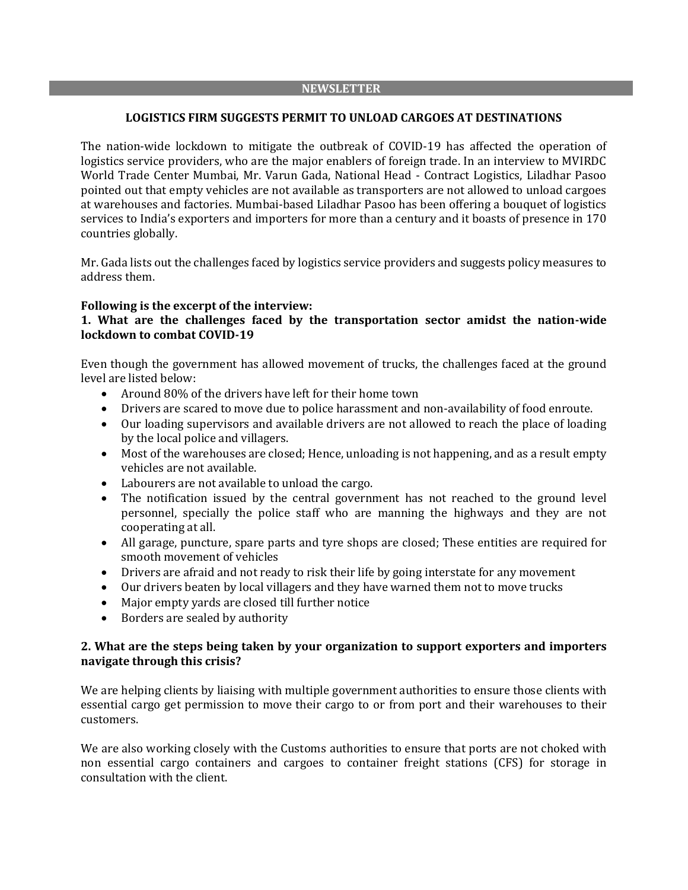#### **NEWSLETTER**

#### **LOGISTICS FIRM SUGGESTS PERMIT TO UNLOAD CARGOES AT DESTINATIONS**

The nation-wide lockdown to mitigate the outbreak of COVID-19 has affected the operation of logistics service providers, who are the major enablers of foreign trade. In an interview to MVIRDC World Trade Center Mumbai, Mr. Varun Gada, National Head - Contract Logistics, Liladhar Pasoo pointed out that empty vehicles are not available as transporters are not allowed to unload cargoes at warehouses and factories. Mumbai-based Liladhar Pasoo has been offering a bouquet of logistics services to India's exporters and importers for more than a century and it boasts of presence in 170 countries globally.

Mr. Gada lists out the challenges faced by logistics service providers and suggests policy measures to address them.

#### **Following is the excerpt of the interview:**

## **1. What are the challenges faced by the transportation sector amidst the nation-wide lockdown to combat COVID-19**

Even though the government has allowed movement of trucks, the challenges faced at the ground level are listed below:

- Around 80% of the drivers have left for their home town
- Drivers are scared to move due to police harassment and non-availability of food enroute.
- Our loading supervisors and available drivers are not allowed to reach the place of loading by the local police and villagers.
- Most of the warehouses are closed; Hence, unloading is not happening, and as a result empty vehicles are not available.
- Labourers are not available to unload the cargo.
- The notification issued by the central government has not reached to the ground level personnel, specially the police staff who are manning the highways and they are not cooperating at all.
- All garage, puncture, spare parts and tyre shops are closed; These entities are required for smooth movement of vehicles
- Drivers are afraid and not ready to risk their life by going interstate for any movement
- Our drivers beaten by local villagers and they have warned them not to move trucks
- Major empty yards are closed till further notice
- Borders are sealed by authority

## **2. What are the steps being taken by your organization to support exporters and importers navigate through this crisis?**

We are helping clients by liaising with multiple government authorities to ensure those clients with essential cargo get permission to move their cargo to or from port and their warehouses to their customers.

We are also working closely with the Customs authorities to ensure that ports are not choked with non essential cargo containers and cargoes to container freight stations (CFS) for storage in consultation with the client.